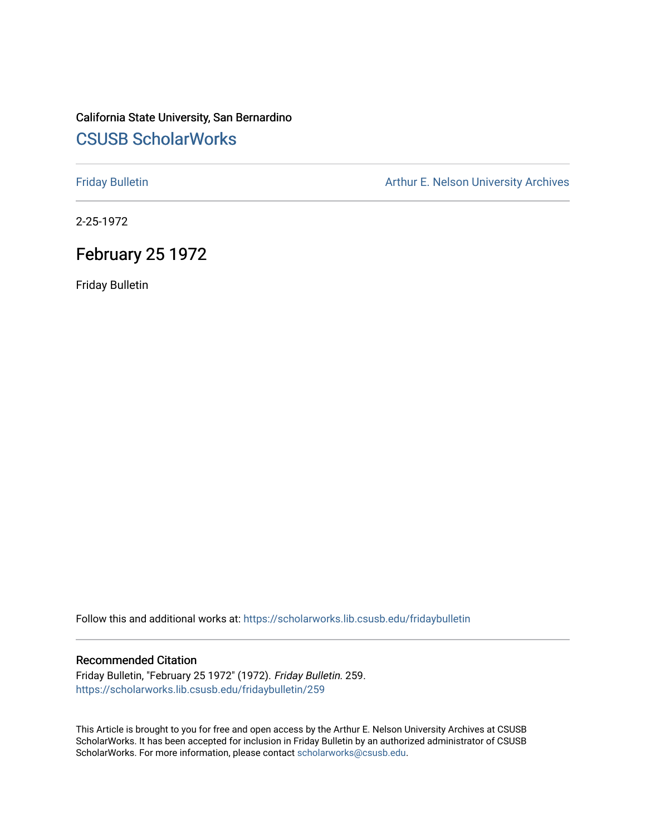### California State University, San Bernardino [CSUSB ScholarWorks](https://scholarworks.lib.csusb.edu/)

[Friday Bulletin](https://scholarworks.lib.csusb.edu/fridaybulletin) **Arthur E. Nelson University Archives** Arthur E. Nelson University Archives

2-25-1972

## February 25 1972

Friday Bulletin

Follow this and additional works at: [https://scholarworks.lib.csusb.edu/fridaybulletin](https://scholarworks.lib.csusb.edu/fridaybulletin?utm_source=scholarworks.lib.csusb.edu%2Ffridaybulletin%2F259&utm_medium=PDF&utm_campaign=PDFCoverPages)

#### Recommended Citation

Friday Bulletin, "February 25 1972" (1972). Friday Bulletin. 259. [https://scholarworks.lib.csusb.edu/fridaybulletin/259](https://scholarworks.lib.csusb.edu/fridaybulletin/259?utm_source=scholarworks.lib.csusb.edu%2Ffridaybulletin%2F259&utm_medium=PDF&utm_campaign=PDFCoverPages)

This Article is brought to you for free and open access by the Arthur E. Nelson University Archives at CSUSB ScholarWorks. It has been accepted for inclusion in Friday Bulletin by an authorized administrator of CSUSB ScholarWorks. For more information, please contact [scholarworks@csusb.edu.](mailto:scholarworks@csusb.edu)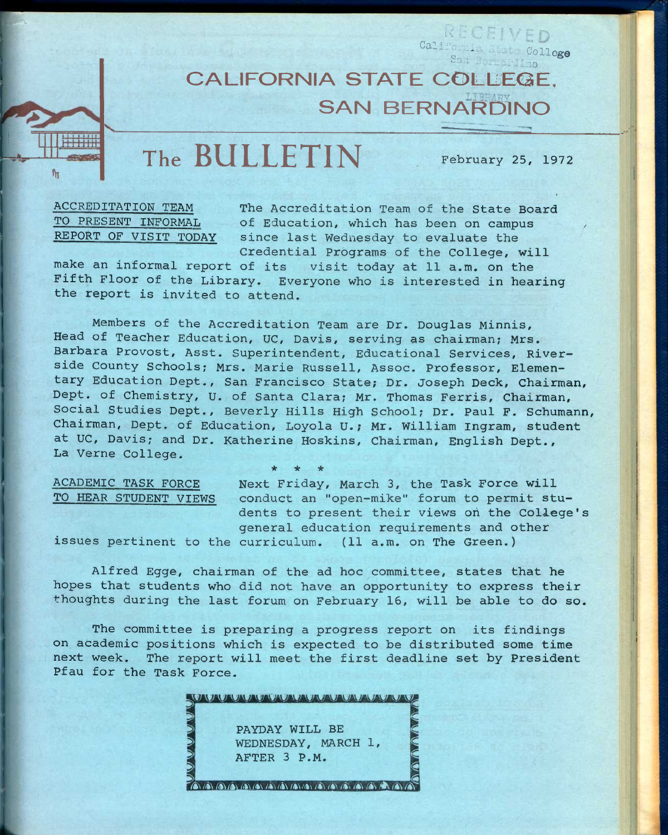**CALIFORNIA STATE COLLEGE. SAN BERNARI** 

**The BULLETIN February 25, 1972** 

College

**<sup>p</sup>L\ t.** 

Sail

Califo

**ACCREDITATION TEAM The Accreditation Team of the State Board**  TO PRESENT INFORMAL of Education, which has been on campus REPORT OF VISIT TODAY since last Wednesday to evaluate the **Credential Programs of the College, will** 

**make an informal report of its visit today at 11 a.m. on the Fifth Floor of the Library. Everyone who is interested in hearing the report is invited to attend.** 

**Members of the Accreditation Team are Dr. Douglas Minnis, Head of Teacher Education, UC, Davis, serving as chairman; Mrs. Barbara Provost, Asst. Superintendent, Educational Services, Riverside County Schools; Mrs. Marie Russell, Assoc. Professor, Elementary Education Dept., San Francisco State; Dr. Joseph Deck, Chairman, Dept. of Chemistry, U. of Santa Clara; Mr. Thomas Ferris, Chairman, Social Studies Dept., Beverly Hills High School; Dr. Paul F. Schumann, Chairman, Dept. of Education, Loyola U.; Mr. William Ingram, student at UC, Davis; and Dr. Katherine Hoskins, Chairman, English Dept., La Verne College.** 

**\* \* \*** 

**ACADEMIC TASK FORCE TO HEAR STUDENT VIEWS** 

**Next Friday, March 3, the Task Force will conduct an "open-mike" forum to permit students to present their views oh the College's general education requirements and other issues pertinent to the curriculum. (11 a.m. on The Green.)** 

**Alfred Egge, chairman of the ad hoc committee, states that he hopes that students who did not have an opportunity to express their thoughts during the last forum on February 16, will be able to do so.** 

**The committee is preparing a progress report on its findings on academic positions which is expected to be distributed some time next week. The report will meet the first deadline set by President Pfau for the Task Force.** 

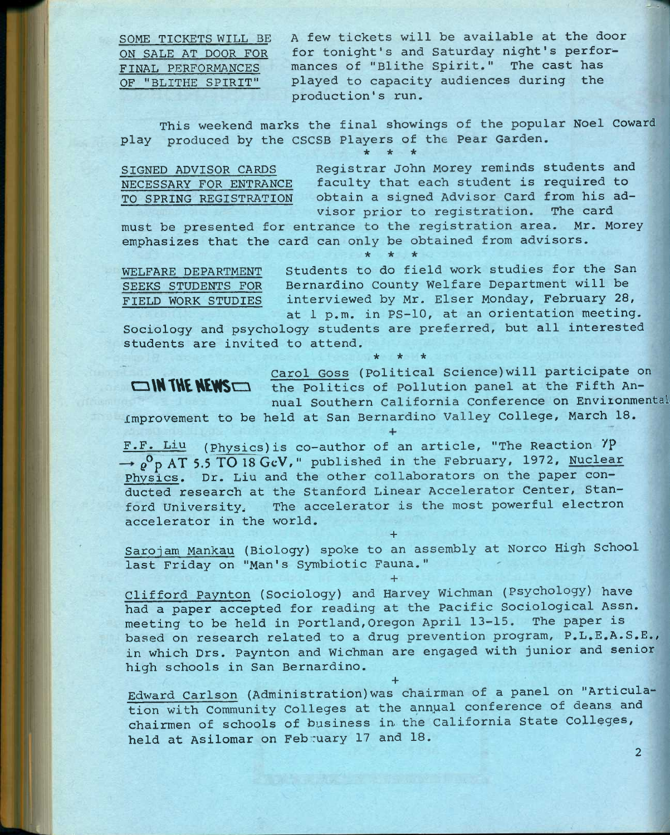**SOME TICKETS WILL BE ON SALE AT DOOR FOR FINAL PERFORMANCES OF "BLITHE SPIRIT"** 

**A few tickets will be available at the door for tonight's and Saturday night's performances of "Blithe Spirit." The cast has played to capacity audiences during the production's run.** 

**This weekend marks the final showings of the popular Noel Coward play produced by the CSCSB Players of the Pear Garden. \* \* \*** 

**SIGNED ADVISOR CARDS NECESSARY FOR ENTRANCE TO SPRING REGISTRATION**  **Registrar John Morey reminds students and faculty that each student is required to obtain a signed Advisor Card from his advisor prior to registration. The card** 

**must be presented for entrance to the registration area. Mr. Morey emphasizes that the card can only be obtained from advisors.** 

**\* \* \*** 

**SEEKS STUDENTS FOR FIELD WORK STUDIES** 

**WELFARE DEPARTMENT Students to do field work studies for the San Bernardino County Welfare Department will be interviewed by Mr. Elser Monday, February 28,**  at 1 p.m. in PS-10, at an orientation meeting.

**Sociology and psychology students are preferred, but all interested students are invited to attend.** 

**\* \* \*** 

**carol Goss (Political Science)will participate on COMMIT THE NEWSCO** the Politics of Pollution panel at the Fifth An**nual Southern California Conference on Environmental** 

**Improvement to be held at San Bernardino Valley College, March 18.** 

**F.F. Liu (Physics) is co-author of an article, "The Reaction "/P p°p AT 5.5 TO 18 GeV, " published in the February, 1972, Nuclear Physics. Dr. Liu and the other collaborators on the paper conducted research at the Stanford Linear Accelerator Center, Stanford University, The accelerator is the most powerful electron accelerator in the world.** 

**Sarojam Mankau (Biology) spoke to an assembly at Norco High School last Friday on "Man's Symbiotic Fauna."** 

**+** 

**+** 

**Clifford Paynton (Sociology) and Harvey Wichman (Psychology) have had a paper accepted for reading at the Pacific Sociological Assn. meeting to be held in Portland,Oregon April 13-15. The paper is based on research related to a drug prevention program, P.L.E.A.S.E., in which Drs. Paynton and Wichman are engaged with junior and senior high schools in San Bernardino.** 

**+ Edward Carlson (Administration)was chairman of a panel on "Articulation with Community Colleges at the annpal conference of deans and chairmen of schools of business in. the California State Colleges, held at Asilomar on February 17 and 18.**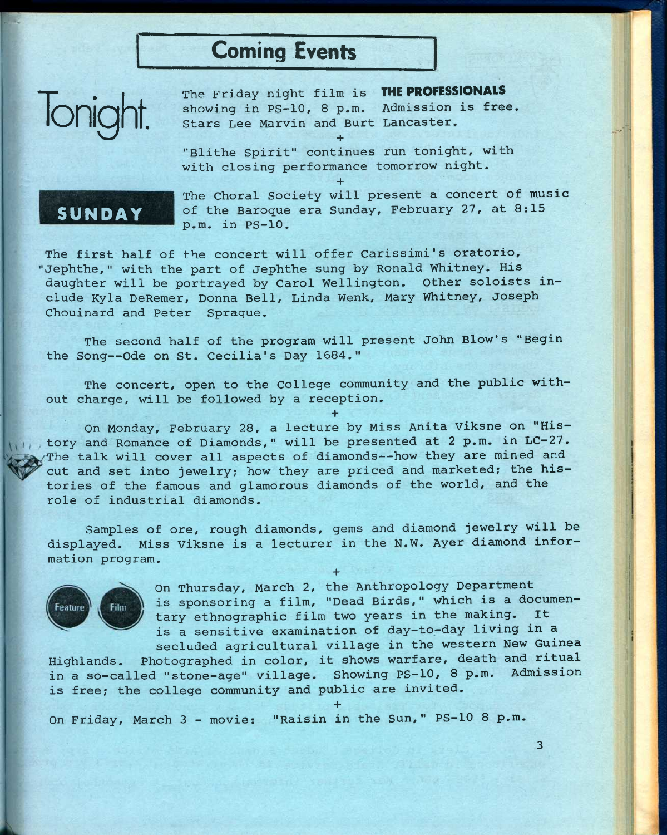# Coming Events

Ionic

**The Friday night film is** THE PROFESSIONALS **showing in PS-10, 8 p.m. Admission is free. Stars Lee Marvin and Burt Lancaster. +** 

**"Blithe Spirit" continues run tonight, with with closing performance tomorrow night.** 

**+** 

## SUNDAY

**The Choral Society will present a concert of music of the Baroque era Sunday, February 27, at 8:15 p.m. in PS-10.** 

**The first half of the concert will offer Carissimi's oratorio, 'Jephthe," with the part of Jephthe sung by Ronald Whitney. His daughter will be portrayed by Carol Wellington. Other soloists include Kyla DeRemer, Donna Bell, Linda Wenk, Mary Whitney, Joseph Chouinard and Peter Sprague.** 

**The second half of the program will present John Blow's "Begin the Song—Ode on St. Cecilia's Day 1584."** 

**The concert, open to the College community and the public without charge, will be followed by a reception.** 

**+** 

**On Monday, February 28, a lecture by Miss Anita Viksne on "History and Romance of Diamonds," will be presented at 2 p.m. in LC-27.**  The talk will cover all aspects of diamonds--how they are mined and **cut and set into jewelry; how they are priced and marketed; the histories of the famous and glamorous diamonds of the world, and the role of industrial diamonds.** 

**Samples of ore, rough diamonds, gems and diamond jewelry will be displayed. Miss Viksne is a lecturer in the N.W. Ayer diamond information program.** 

**+** 

**+** 



**On Thursday, March 2, the Anthropology Department is sponsoring a film, "Dead Birds," which is a documentary ethnographic film two years in the making. It is a sensitive examination of day—to—day living in a secluded agricultural village in the western New Guinea** 

**Highlands. Photographed in color, it shows warfare, death and ritual in a so-called "stone-age" village. Showing PS-10, 8 p.m. Admission is free; the college community and public are invited.** 

**On Friday, March 3 - movie: "Raisin in the Sun," PS-10 8 p.m.**